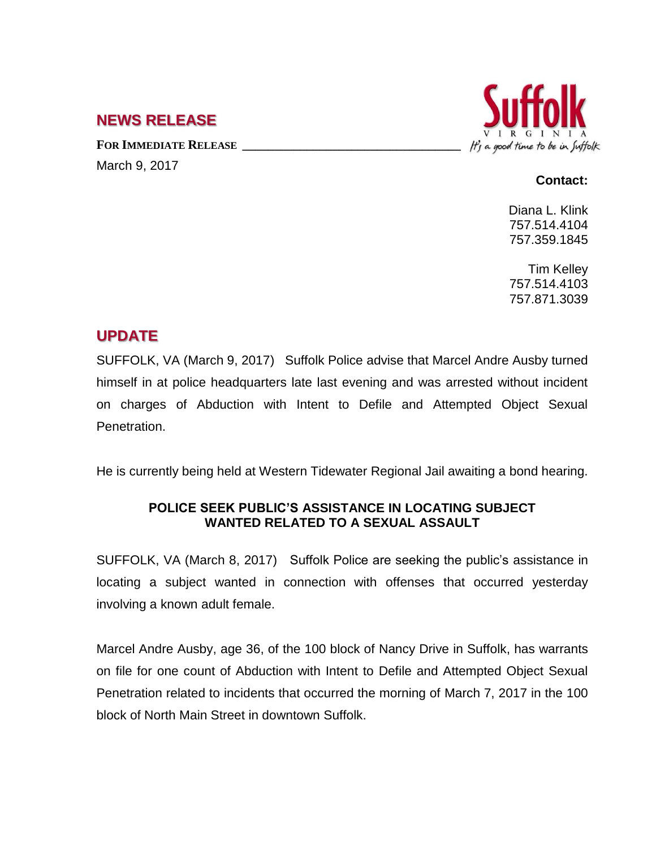## **NEWS RELEASE**

**FOR IMMEDIATE RELEASE \_\_\_\_\_\_\_\_\_\_\_\_\_\_\_\_\_\_\_\_\_\_\_\_\_\_\_\_\_\_\_\_\_\_** March 9, 2017



## **Contact:**

Diana L. Klink 757.514.4104 757.359.1845

Tim Kelley 757.514.4103 757.871.3039

## **UPDATE**

SUFFOLK, VA (March 9, 2017) Suffolk Police advise that Marcel Andre Ausby turned himself in at police headquarters late last evening and was arrested without incident on charges of Abduction with Intent to Defile and Attempted Object Sexual Penetration.

He is currently being held at Western Tidewater Regional Jail awaiting a bond hearing.

## **POLICE SEEK PUBLIC'S ASSISTANCE IN LOCATING SUBJECT WANTED RELATED TO A SEXUAL ASSAULT**

SUFFOLK, VA (March 8, 2017) Suffolk Police are seeking the public's assistance in locating a subject wanted in connection with offenses that occurred yesterday involving a known adult female.

Marcel Andre Ausby, age 36, of the 100 block of Nancy Drive in Suffolk, has warrants on file for one count of Abduction with Intent to Defile and Attempted Object Sexual Penetration related to incidents that occurred the morning of March 7, 2017 in the 100 block of North Main Street in downtown Suffolk.